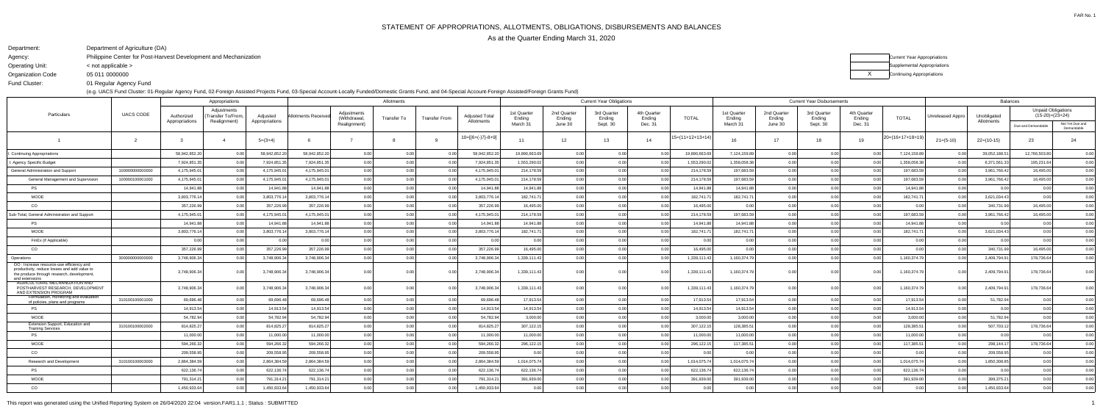FAR No. 1

Agency:

Operating Unit:

Organization Code

Department:Department of Agriculture (DA)Philippine Center for Post-Harvest Development and Mechanization

< not applicable >

(e.g. UACS Fund Cluster: 01-Regular Agency Fund, 02-Foreign Assisted Projects Fund, 03-Special Account-Locally Funded/Domestic Grants Fund, and 04-Special Account-Foreign Assisted/Foreign Grants Fund)

 05 011 0000000Fund Cluster:

01 Regular Agency Fund



| <b>Unpaid Obligations</b><br>Adiustments<br>Adjustments<br>1st Quarter<br>2nd Quarter<br>3rd Quarter<br>4th Quarter<br>1st Quarter<br>2nd Quarter<br>3rd Quarter<br>4th Quarter<br><b>UACS CODE</b><br>Particulars<br>$(15-20)=(23+24)$<br>Transfer To/From,<br><b>Adjusted Total</b><br>Adjusted<br>Allotments Receive<br>Unreleased Appro<br>Unobligated<br>Authorized<br><b>TOTAL</b><br><b>TOTAL</b><br>Transfer To<br><b>Transfer From</b><br>Ending<br>Withdrawal,<br>Ending<br>Ending<br>Ending<br>Ending<br>Ending<br>Endina<br>Ending<br>Allotments<br>Realignment)<br>Appropriations<br>Allotments<br>Appropriations<br>March 31<br>March 31<br>Sept. 30<br>Dec. 31<br>June 30<br>Sept. 30<br>Dec. 31<br>June 30<br>Realignment)<br>Due and Demandable<br>Demandable<br>$10=[6+(-)7]-8+9]$<br>$5=(11+12+13+14)$<br>20=(16+17+18+19)<br>12 <sup>7</sup><br>13<br>16<br>23<br>$5=(3+4)$<br>11<br>14<br>17<br>$21=(5-10)$<br>$22=(10-15)$<br>24<br>18<br>19<br>12,766,503.80<br>58,942,852.20<br>58,942,852.20<br>58,942,852.20<br>0.00<br>58,942,852.20<br>19,890,663.69<br>0.00<br>0.00<br>19,890,663.6<br>7,124,159.89<br>7,124,159.89<br>39,052,188.51<br>Continuing Appropriations<br>0.00<br>0.00<br>0.00<br>0.00<br>0.00<br>0.00<br>0.00<br>1,553,290.02<br>0.00<br>1.358.058.38<br>6.371.561.33<br>7,924,851.3<br>7,924,851.3<br>7,924,851.3<br>0.00<br>0.00<br>7,924,851.35<br>0.00<br>1,553,290.02<br>0.00<br>1.358.058.38<br>0.0<br>195,231.64<br>Agency Specific Budget<br>0.00<br>4,175,945.0<br>0.00<br>4,175,945.01<br>0.00<br>0.00<br>197,683.59<br>100000000000000<br>4,175,945.0<br>4,175,945.0<br>0.00<br>0.00<br>214,178.59<br>0.00<br>214,178.59<br>197,683.5<br>0.00<br>0.00<br>3,961,766.42<br>16,495.00<br>General Administration and Support<br>4,175,945.01<br>4,175,945.0<br>0.00<br>0.00<br>4,175,945.01<br>214,178.59<br>0.00<br>197,683.59<br>0.00<br>197,683.59<br>3,961,766.42<br>16,495.00<br>General Management and Supervision<br>100000100001000<br>4,175,945.0<br>0.00<br>0.00<br>0 O<br>214,178.59<br>0.00<br>0.0<br>0.00<br>0.00<br>14,941.88<br>14,941.88<br>0.00<br>14,941.88<br>14,941.88<br>0.00<br>14,941.8<br>14,941.8<br>0.00<br>14,941.88<br><b>PS</b><br>14,941.88<br>0.00<br>0.00<br>0.0<br>0.00<br>0.00<br>0 <sub>0</sub><br><b>MOOE</b><br>3,803,776.14<br>3,803,776.14<br>3,803,776.14<br>182.741.71<br>0.00<br>182.741.71<br>182,741.71<br>3,621,034.43<br>3,803,776.14<br>0.00<br>0.00<br>0.00<br>182.741.7<br>0.00<br>0.00<br>0.00<br>0.00<br>0 O<br>0.00<br>CO<br>0.00<br>357,226.99<br>357,226.99<br>357,226.99<br>0.00<br>0.00<br>0.00<br>357,226.99<br>16,495.00<br>0.00<br>0.00<br>16,495.00<br>0.00<br>0.00<br>0.00<br>0.0<br>340,731.99<br>16,495.00<br>0.00<br>0.00<br>0.00<br>4,175,945.0<br>4,175,945.0<br>4,175,945.0<br>0.00<br>0.00<br>0.00<br>4,175,945.01<br>214,178.59<br>0.00<br>0.00<br>197,683.5<br>0.00<br>197,683.59<br>3,961,766.42<br>16,495.00<br>Sub-Total, General Administration and Support<br>0 <sub>0</sub><br>214,178.59<br>0.00<br>0.0<br>0.00<br>14,941.88<br>0.00<br>0.00<br>14,941.88<br>0.00<br>0.00<br>0.00<br>14,941.88<br>0.00<br>14,941.88<br>0.00<br><b>PS</b><br>14,941.88<br>0 <sub>0</sub><br>14,941.88<br>14,941.88<br>14,941.8<br>0.00<br>0.00<br>0.00<br>0.00<br><b>MOOE</b><br>3,803,776.14<br>3,803,776.14<br>3,803,776.14<br>0.00<br>3,803,776.14<br>182,741.71<br>0.00<br>0.00<br>182,741.7<br>182,741.7<br>3,621,034.43<br>0.00<br>0.00<br>182,741.7<br>0.00<br>0.0<br>0.00<br>0.00<br>FinEx (if Applicable)<br>0.00<br>0.00<br>0.00<br>0.00<br>0.00<br>0.00<br>0.00<br>0.00<br>0.00<br>0.00<br>0.00<br>0.00<br>0.00<br>0.00<br>0.00<br>0.00<br>0.00<br>0.00<br>0.00<br>0.00<br>0.00<br>CO<br>357,226.99<br>357,226.99<br>0.00<br>0.00<br>0.00<br>357,226.99<br>16,495.00<br>0.00<br>0.00<br>0.00<br>340,731.99<br>16,495.00<br>357,226.99<br>0.00<br>0.00<br>16,495.00<br>0.00<br>0.00<br>0 <sub>0</sub><br>0.00<br>0.00<br>3,748,906.34<br>3,748,906.34<br>3,748,906.34<br>0.00<br>0.00<br>3,748,906.34<br>1,339,111.43<br>0.00<br>1,160,374.79<br>0.00<br>1,160,374.79<br>2,409,794.91<br>178,736.64<br>300000000000000<br>0.00<br>1,339,111.43<br>0.00<br>0.0<br>Operations<br>OO: Increase resource-use efficiency and<br>productivity, reduce losses and add value to<br>3,748,906.34<br>3,748,906.34<br>1,339,111.4<br>1,160,374.7<br>1,160,374.79<br>178,736.64<br>3,748,906.34<br>3,748,906.34<br>0.00<br>1,339,111.43<br>2,409,794.91<br>0 U<br>0.00<br>0.001<br>0.0<br>0.00<br>0.O<br>the produce through research, development,<br>and extensions<br>AGRICULTURAL MECHANIZATION AND<br>178,736.64<br>3,748,906.34<br>3,748,906.34<br>3,748,906.34<br>3,748,906.34<br>1,339,111.43<br>1.339.111.43<br>1,160,374.79<br>1,160,374.79<br>2,409,794.91<br>POSTHARVEST RESEARCH, DEVELOPMENT<br>0.00<br>0 <sub>0</sub><br>0.00<br>0.001<br>0.0<br>0.00<br>AND EXTENSION PROGRAM<br>Formulation, monitoring and evaluation<br>69,696.48<br>17,913.54<br>0.00<br>0.00<br>17,913.54<br>310100100001000<br>69,696.48<br>0.00<br>69,696.48<br>0.00<br>0.00<br>0.00<br>69,696.48<br>0 Q<br>17,913.54<br>17,913.54<br>0.00<br>0.0<br>51,782.94<br>0.00<br>0.00<br>of policies, plans and programs<br>PS<br>14,913.54<br>14,913.54<br>14,913.54<br>0.00<br>14,913.54<br>14,913.54<br>0.00<br>14,913.54<br>0.00<br>0.00<br>0.00<br>14,913.54<br>14,913.54<br>0.00<br>0.00<br>0.00<br>n nr<br>0.00<br>0.00<br>0.00<br><b>MOOE</b><br>54,782.94<br>54,782.94<br>54,782.94<br>0.00<br>0.00<br>0.00<br>54,782.94<br>3,000.00<br>0.00<br>0.00<br>3,000.00<br>0.00<br>3,000.00<br>51,782.94<br>0.00<br>0.00<br>3,000.00<br>0.00<br>0.00<br>0.00<br>Extension Support, Education and<br>0.00<br>128,385.51<br>310100100002000<br>814,825.27<br>814,825.27<br>814,825.27<br>0.00<br>0.00<br>814,825.27<br>307,122.15<br>0.00<br>0.00<br>00<br>307,122.15<br>128,385.51<br>0.00<br>0.00<br>0.00<br>507,703.12<br>178,736.64<br>n nr<br><b>Training Services</b><br>11,000.00<br>0.00<br>11,000.00<br>0.00<br>11,000.00<br><b>PS</b><br>11,000.00<br>11,000.00<br>0.00<br>11,000.00<br>0.00<br>11,000.0<br>11,000.00<br>0.00<br>0.00<br>0.00<br>0.00<br>0.00<br>0 <sub>0</sub><br>0.00<br>0.00<br>0.0<br>117,385.51<br>117,385.51<br><b>MOOE</b><br>594,266.32<br>594,266.32<br>594,266.32<br>0.00<br>0.00<br>0.00<br>594,266.32<br>296,122.15<br>0.00<br>296,122.15<br>0.00<br>0.00<br>298,144.17<br>178,736.64<br>0.00<br>0.00<br>0.0<br>0.00<br>CO<br>209,558.95<br>209,558.9<br>0.00<br>0.00<br>209,558.95<br>0.00<br>0.00<br>0.00<br>0.00<br>0.00<br>209,558.95<br>0.00<br>209,558.95<br>0.00<br>0.00<br>0.00<br>0.00<br>0.00<br>0.00<br>0.00<br>0.0 | Appropriations |  |  |  |  | <b>Current Year Obligations</b> |  |  |  |  | <b>Current Year Disbursements</b> |  |  |  |  | <b>Balances</b> |  |  |  |  |                 |
|----------------------------------------------------------------------------------------------------------------------------------------------------------------------------------------------------------------------------------------------------------------------------------------------------------------------------------------------------------------------------------------------------------------------------------------------------------------------------------------------------------------------------------------------------------------------------------------------------------------------------------------------------------------------------------------------------------------------------------------------------------------------------------------------------------------------------------------------------------------------------------------------------------------------------------------------------------------------------------------------------------------------------------------------------------------------------------------------------------------------------------------------------------------------------------------------------------------------------------------------------------------------------------------------------------------------------------------------------------------------------------------------------------------------------------------------------------------------------------------------------------------------------------------------------------------------------------------------------------------------------------------------------------------------------------------------------------------------------------------------------------------------------------------------------------------------------------------------------------------------------------------------------------------------------------------------------------------------------------------------------------------------------------------------------------------------------------------------------------------------------------------------------------------------------------------------------------------------------------------------------------------------------------------------------------------------------------------------------------------------------------------------------------------------------------------------------------------------------------------------------------------------------------------------------------------------------------------------------------------------------------------------------------------------------------------------------------------------------------------------------------------------------------------------------------------------------------------------------------------------------------------------------------------------------------------------------------------------------------------------------------------------------------------------------------------------------------------------------------------------------------------------------------------------------------------------------------------------------------------------------------------------------------------------------------------------------------------------------------------------------------------------------------------------------------------------------------------------------------------------------------------------------------------------------------------------------------------------------------------------------------------------------------------------------------------------------------------------------------------------------------------------------------------------------------------------------------------------------------------------------------------------------------------------------------------------------------------------------------------------------------------------------------------------------------------------------------------------------------------------------------------------------------------------------------------------------------------------------------------------------------------------------------------------------------------------------------------------------------------------------------------------------------------------------------------------------------------------------------------------------------------------------------------------------------------------------------------------------------------------------------------------------------------------------------------------------------------------------------------------------------------------------------------------------------------------------------------------------------------------------------------------------------------------------------------------------------------------------------------------------------------------------------------------------------------------------------------------------------------------------------------------------------------------------------------------------------------------------------------------------------------------------------------------------------------------------------------------------------------------------------------------------------------------------------------------------------------------------------------------------------------------------------------------------------------------------------------------------------------------------------------------------------------------------------------------------------------------------------------------------------------------------------------------------------------------------------------------------------------------------------------------------------------------------------------------------------------------------------------------------------------------------------------------------------------------------------------------------------------------------------------------------------------------------------------------------------------------------------------------------------------------------------------------------------------------------------------------------------------------------------------------------------------------------------------------------------------------------------------------------------------------------------------------------------------------------------------------------------------------------------------------------------------|----------------|--|--|--|--|---------------------------------|--|--|--|--|-----------------------------------|--|--|--|--|-----------------|--|--|--|--|-----------------|
|                                                                                                                                                                                                                                                                                                                                                                                                                                                                                                                                                                                                                                                                                                                                                                                                                                                                                                                                                                                                                                                                                                                                                                                                                                                                                                                                                                                                                                                                                                                                                                                                                                                                                                                                                                                                                                                                                                                                                                                                                                                                                                                                                                                                                                                                                                                                                                                                                                                                                                                                                                                                                                                                                                                                                                                                                                                                                                                                                                                                                                                                                                                                                                                                                                                                                                                                                                                                                                                                                                                                                                                                                                                                                                                                                                                                                                                                                                                                                                                                                                                                                                                                                                                                                                                                                                                                                                                                                                                                                                                                                                                                                                                                                                                                                                                                                                                                                                                                                                                                                                                                                                                                                                                                                                                                                                                                                                                                                                                                                                                                                                                                                                                                                                                                                                                                                                                                                                                                                                                                                                                                                                                                                                                                                                                                                                                                                                                                                                                                                                                                                                                                                                                                |                |  |  |  |  |                                 |  |  |  |  |                                   |  |  |  |  |                 |  |  |  |  |                 |
|                                                                                                                                                                                                                                                                                                                                                                                                                                                                                                                                                                                                                                                                                                                                                                                                                                                                                                                                                                                                                                                                                                                                                                                                                                                                                                                                                                                                                                                                                                                                                                                                                                                                                                                                                                                                                                                                                                                                                                                                                                                                                                                                                                                                                                                                                                                                                                                                                                                                                                                                                                                                                                                                                                                                                                                                                                                                                                                                                                                                                                                                                                                                                                                                                                                                                                                                                                                                                                                                                                                                                                                                                                                                                                                                                                                                                                                                                                                                                                                                                                                                                                                                                                                                                                                                                                                                                                                                                                                                                                                                                                                                                                                                                                                                                                                                                                                                                                                                                                                                                                                                                                                                                                                                                                                                                                                                                                                                                                                                                                                                                                                                                                                                                                                                                                                                                                                                                                                                                                                                                                                                                                                                                                                                                                                                                                                                                                                                                                                                                                                                                                                                                                                                |                |  |  |  |  |                                 |  |  |  |  |                                   |  |  |  |  |                 |  |  |  |  | Not Yet Due and |
|                                                                                                                                                                                                                                                                                                                                                                                                                                                                                                                                                                                                                                                                                                                                                                                                                                                                                                                                                                                                                                                                                                                                                                                                                                                                                                                                                                                                                                                                                                                                                                                                                                                                                                                                                                                                                                                                                                                                                                                                                                                                                                                                                                                                                                                                                                                                                                                                                                                                                                                                                                                                                                                                                                                                                                                                                                                                                                                                                                                                                                                                                                                                                                                                                                                                                                                                                                                                                                                                                                                                                                                                                                                                                                                                                                                                                                                                                                                                                                                                                                                                                                                                                                                                                                                                                                                                                                                                                                                                                                                                                                                                                                                                                                                                                                                                                                                                                                                                                                                                                                                                                                                                                                                                                                                                                                                                                                                                                                                                                                                                                                                                                                                                                                                                                                                                                                                                                                                                                                                                                                                                                                                                                                                                                                                                                                                                                                                                                                                                                                                                                                                                                                                                |                |  |  |  |  |                                 |  |  |  |  |                                   |  |  |  |  |                 |  |  |  |  |                 |
|                                                                                                                                                                                                                                                                                                                                                                                                                                                                                                                                                                                                                                                                                                                                                                                                                                                                                                                                                                                                                                                                                                                                                                                                                                                                                                                                                                                                                                                                                                                                                                                                                                                                                                                                                                                                                                                                                                                                                                                                                                                                                                                                                                                                                                                                                                                                                                                                                                                                                                                                                                                                                                                                                                                                                                                                                                                                                                                                                                                                                                                                                                                                                                                                                                                                                                                                                                                                                                                                                                                                                                                                                                                                                                                                                                                                                                                                                                                                                                                                                                                                                                                                                                                                                                                                                                                                                                                                                                                                                                                                                                                                                                                                                                                                                                                                                                                                                                                                                                                                                                                                                                                                                                                                                                                                                                                                                                                                                                                                                                                                                                                                                                                                                                                                                                                                                                                                                                                                                                                                                                                                                                                                                                                                                                                                                                                                                                                                                                                                                                                                                                                                                                                                |                |  |  |  |  |                                 |  |  |  |  |                                   |  |  |  |  |                 |  |  |  |  | 0.00            |
|                                                                                                                                                                                                                                                                                                                                                                                                                                                                                                                                                                                                                                                                                                                                                                                                                                                                                                                                                                                                                                                                                                                                                                                                                                                                                                                                                                                                                                                                                                                                                                                                                                                                                                                                                                                                                                                                                                                                                                                                                                                                                                                                                                                                                                                                                                                                                                                                                                                                                                                                                                                                                                                                                                                                                                                                                                                                                                                                                                                                                                                                                                                                                                                                                                                                                                                                                                                                                                                                                                                                                                                                                                                                                                                                                                                                                                                                                                                                                                                                                                                                                                                                                                                                                                                                                                                                                                                                                                                                                                                                                                                                                                                                                                                                                                                                                                                                                                                                                                                                                                                                                                                                                                                                                                                                                                                                                                                                                                                                                                                                                                                                                                                                                                                                                                                                                                                                                                                                                                                                                                                                                                                                                                                                                                                                                                                                                                                                                                                                                                                                                                                                                                                                |                |  |  |  |  |                                 |  |  |  |  |                                   |  |  |  |  |                 |  |  |  |  | 0.00            |
|                                                                                                                                                                                                                                                                                                                                                                                                                                                                                                                                                                                                                                                                                                                                                                                                                                                                                                                                                                                                                                                                                                                                                                                                                                                                                                                                                                                                                                                                                                                                                                                                                                                                                                                                                                                                                                                                                                                                                                                                                                                                                                                                                                                                                                                                                                                                                                                                                                                                                                                                                                                                                                                                                                                                                                                                                                                                                                                                                                                                                                                                                                                                                                                                                                                                                                                                                                                                                                                                                                                                                                                                                                                                                                                                                                                                                                                                                                                                                                                                                                                                                                                                                                                                                                                                                                                                                                                                                                                                                                                                                                                                                                                                                                                                                                                                                                                                                                                                                                                                                                                                                                                                                                                                                                                                                                                                                                                                                                                                                                                                                                                                                                                                                                                                                                                                                                                                                                                                                                                                                                                                                                                                                                                                                                                                                                                                                                                                                                                                                                                                                                                                                                                                |                |  |  |  |  |                                 |  |  |  |  |                                   |  |  |  |  |                 |  |  |  |  | 0.00            |
|                                                                                                                                                                                                                                                                                                                                                                                                                                                                                                                                                                                                                                                                                                                                                                                                                                                                                                                                                                                                                                                                                                                                                                                                                                                                                                                                                                                                                                                                                                                                                                                                                                                                                                                                                                                                                                                                                                                                                                                                                                                                                                                                                                                                                                                                                                                                                                                                                                                                                                                                                                                                                                                                                                                                                                                                                                                                                                                                                                                                                                                                                                                                                                                                                                                                                                                                                                                                                                                                                                                                                                                                                                                                                                                                                                                                                                                                                                                                                                                                                                                                                                                                                                                                                                                                                                                                                                                                                                                                                                                                                                                                                                                                                                                                                                                                                                                                                                                                                                                                                                                                                                                                                                                                                                                                                                                                                                                                                                                                                                                                                                                                                                                                                                                                                                                                                                                                                                                                                                                                                                                                                                                                                                                                                                                                                                                                                                                                                                                                                                                                                                                                                                                                |                |  |  |  |  |                                 |  |  |  |  |                                   |  |  |  |  |                 |  |  |  |  | 0.00            |
|                                                                                                                                                                                                                                                                                                                                                                                                                                                                                                                                                                                                                                                                                                                                                                                                                                                                                                                                                                                                                                                                                                                                                                                                                                                                                                                                                                                                                                                                                                                                                                                                                                                                                                                                                                                                                                                                                                                                                                                                                                                                                                                                                                                                                                                                                                                                                                                                                                                                                                                                                                                                                                                                                                                                                                                                                                                                                                                                                                                                                                                                                                                                                                                                                                                                                                                                                                                                                                                                                                                                                                                                                                                                                                                                                                                                                                                                                                                                                                                                                                                                                                                                                                                                                                                                                                                                                                                                                                                                                                                                                                                                                                                                                                                                                                                                                                                                                                                                                                                                                                                                                                                                                                                                                                                                                                                                                                                                                                                                                                                                                                                                                                                                                                                                                                                                                                                                                                                                                                                                                                                                                                                                                                                                                                                                                                                                                                                                                                                                                                                                                                                                                                                                |                |  |  |  |  |                                 |  |  |  |  |                                   |  |  |  |  |                 |  |  |  |  | 0.00            |
|                                                                                                                                                                                                                                                                                                                                                                                                                                                                                                                                                                                                                                                                                                                                                                                                                                                                                                                                                                                                                                                                                                                                                                                                                                                                                                                                                                                                                                                                                                                                                                                                                                                                                                                                                                                                                                                                                                                                                                                                                                                                                                                                                                                                                                                                                                                                                                                                                                                                                                                                                                                                                                                                                                                                                                                                                                                                                                                                                                                                                                                                                                                                                                                                                                                                                                                                                                                                                                                                                                                                                                                                                                                                                                                                                                                                                                                                                                                                                                                                                                                                                                                                                                                                                                                                                                                                                                                                                                                                                                                                                                                                                                                                                                                                                                                                                                                                                                                                                                                                                                                                                                                                                                                                                                                                                                                                                                                                                                                                                                                                                                                                                                                                                                                                                                                                                                                                                                                                                                                                                                                                                                                                                                                                                                                                                                                                                                                                                                                                                                                                                                                                                                                                |                |  |  |  |  |                                 |  |  |  |  |                                   |  |  |  |  |                 |  |  |  |  | 0.00            |
|                                                                                                                                                                                                                                                                                                                                                                                                                                                                                                                                                                                                                                                                                                                                                                                                                                                                                                                                                                                                                                                                                                                                                                                                                                                                                                                                                                                                                                                                                                                                                                                                                                                                                                                                                                                                                                                                                                                                                                                                                                                                                                                                                                                                                                                                                                                                                                                                                                                                                                                                                                                                                                                                                                                                                                                                                                                                                                                                                                                                                                                                                                                                                                                                                                                                                                                                                                                                                                                                                                                                                                                                                                                                                                                                                                                                                                                                                                                                                                                                                                                                                                                                                                                                                                                                                                                                                                                                                                                                                                                                                                                                                                                                                                                                                                                                                                                                                                                                                                                                                                                                                                                                                                                                                                                                                                                                                                                                                                                                                                                                                                                                                                                                                                                                                                                                                                                                                                                                                                                                                                                                                                                                                                                                                                                                                                                                                                                                                                                                                                                                                                                                                                                                |                |  |  |  |  |                                 |  |  |  |  |                                   |  |  |  |  |                 |  |  |  |  | 0.00            |
|                                                                                                                                                                                                                                                                                                                                                                                                                                                                                                                                                                                                                                                                                                                                                                                                                                                                                                                                                                                                                                                                                                                                                                                                                                                                                                                                                                                                                                                                                                                                                                                                                                                                                                                                                                                                                                                                                                                                                                                                                                                                                                                                                                                                                                                                                                                                                                                                                                                                                                                                                                                                                                                                                                                                                                                                                                                                                                                                                                                                                                                                                                                                                                                                                                                                                                                                                                                                                                                                                                                                                                                                                                                                                                                                                                                                                                                                                                                                                                                                                                                                                                                                                                                                                                                                                                                                                                                                                                                                                                                                                                                                                                                                                                                                                                                                                                                                                                                                                                                                                                                                                                                                                                                                                                                                                                                                                                                                                                                                                                                                                                                                                                                                                                                                                                                                                                                                                                                                                                                                                                                                                                                                                                                                                                                                                                                                                                                                                                                                                                                                                                                                                                                                |                |  |  |  |  |                                 |  |  |  |  |                                   |  |  |  |  |                 |  |  |  |  | 0.00            |
|                                                                                                                                                                                                                                                                                                                                                                                                                                                                                                                                                                                                                                                                                                                                                                                                                                                                                                                                                                                                                                                                                                                                                                                                                                                                                                                                                                                                                                                                                                                                                                                                                                                                                                                                                                                                                                                                                                                                                                                                                                                                                                                                                                                                                                                                                                                                                                                                                                                                                                                                                                                                                                                                                                                                                                                                                                                                                                                                                                                                                                                                                                                                                                                                                                                                                                                                                                                                                                                                                                                                                                                                                                                                                                                                                                                                                                                                                                                                                                                                                                                                                                                                                                                                                                                                                                                                                                                                                                                                                                                                                                                                                                                                                                                                                                                                                                                                                                                                                                                                                                                                                                                                                                                                                                                                                                                                                                                                                                                                                                                                                                                                                                                                                                                                                                                                                                                                                                                                                                                                                                                                                                                                                                                                                                                                                                                                                                                                                                                                                                                                                                                                                                                                |                |  |  |  |  |                                 |  |  |  |  |                                   |  |  |  |  |                 |  |  |  |  | 0.00            |
|                                                                                                                                                                                                                                                                                                                                                                                                                                                                                                                                                                                                                                                                                                                                                                                                                                                                                                                                                                                                                                                                                                                                                                                                                                                                                                                                                                                                                                                                                                                                                                                                                                                                                                                                                                                                                                                                                                                                                                                                                                                                                                                                                                                                                                                                                                                                                                                                                                                                                                                                                                                                                                                                                                                                                                                                                                                                                                                                                                                                                                                                                                                                                                                                                                                                                                                                                                                                                                                                                                                                                                                                                                                                                                                                                                                                                                                                                                                                                                                                                                                                                                                                                                                                                                                                                                                                                                                                                                                                                                                                                                                                                                                                                                                                                                                                                                                                                                                                                                                                                                                                                                                                                                                                                                                                                                                                                                                                                                                                                                                                                                                                                                                                                                                                                                                                                                                                                                                                                                                                                                                                                                                                                                                                                                                                                                                                                                                                                                                                                                                                                                                                                                                                |                |  |  |  |  |                                 |  |  |  |  |                                   |  |  |  |  |                 |  |  |  |  | 0.00            |
|                                                                                                                                                                                                                                                                                                                                                                                                                                                                                                                                                                                                                                                                                                                                                                                                                                                                                                                                                                                                                                                                                                                                                                                                                                                                                                                                                                                                                                                                                                                                                                                                                                                                                                                                                                                                                                                                                                                                                                                                                                                                                                                                                                                                                                                                                                                                                                                                                                                                                                                                                                                                                                                                                                                                                                                                                                                                                                                                                                                                                                                                                                                                                                                                                                                                                                                                                                                                                                                                                                                                                                                                                                                                                                                                                                                                                                                                                                                                                                                                                                                                                                                                                                                                                                                                                                                                                                                                                                                                                                                                                                                                                                                                                                                                                                                                                                                                                                                                                                                                                                                                                                                                                                                                                                                                                                                                                                                                                                                                                                                                                                                                                                                                                                                                                                                                                                                                                                                                                                                                                                                                                                                                                                                                                                                                                                                                                                                                                                                                                                                                                                                                                                                                |                |  |  |  |  |                                 |  |  |  |  |                                   |  |  |  |  |                 |  |  |  |  | 0.00            |
|                                                                                                                                                                                                                                                                                                                                                                                                                                                                                                                                                                                                                                                                                                                                                                                                                                                                                                                                                                                                                                                                                                                                                                                                                                                                                                                                                                                                                                                                                                                                                                                                                                                                                                                                                                                                                                                                                                                                                                                                                                                                                                                                                                                                                                                                                                                                                                                                                                                                                                                                                                                                                                                                                                                                                                                                                                                                                                                                                                                                                                                                                                                                                                                                                                                                                                                                                                                                                                                                                                                                                                                                                                                                                                                                                                                                                                                                                                                                                                                                                                                                                                                                                                                                                                                                                                                                                                                                                                                                                                                                                                                                                                                                                                                                                                                                                                                                                                                                                                                                                                                                                                                                                                                                                                                                                                                                                                                                                                                                                                                                                                                                                                                                                                                                                                                                                                                                                                                                                                                                                                                                                                                                                                                                                                                                                                                                                                                                                                                                                                                                                                                                                                                                |                |  |  |  |  |                                 |  |  |  |  |                                   |  |  |  |  |                 |  |  |  |  | 0.00            |
|                                                                                                                                                                                                                                                                                                                                                                                                                                                                                                                                                                                                                                                                                                                                                                                                                                                                                                                                                                                                                                                                                                                                                                                                                                                                                                                                                                                                                                                                                                                                                                                                                                                                                                                                                                                                                                                                                                                                                                                                                                                                                                                                                                                                                                                                                                                                                                                                                                                                                                                                                                                                                                                                                                                                                                                                                                                                                                                                                                                                                                                                                                                                                                                                                                                                                                                                                                                                                                                                                                                                                                                                                                                                                                                                                                                                                                                                                                                                                                                                                                                                                                                                                                                                                                                                                                                                                                                                                                                                                                                                                                                                                                                                                                                                                                                                                                                                                                                                                                                                                                                                                                                                                                                                                                                                                                                                                                                                                                                                                                                                                                                                                                                                                                                                                                                                                                                                                                                                                                                                                                                                                                                                                                                                                                                                                                                                                                                                                                                                                                                                                                                                                                                                |                |  |  |  |  |                                 |  |  |  |  |                                   |  |  |  |  |                 |  |  |  |  | 0.00            |
|                                                                                                                                                                                                                                                                                                                                                                                                                                                                                                                                                                                                                                                                                                                                                                                                                                                                                                                                                                                                                                                                                                                                                                                                                                                                                                                                                                                                                                                                                                                                                                                                                                                                                                                                                                                                                                                                                                                                                                                                                                                                                                                                                                                                                                                                                                                                                                                                                                                                                                                                                                                                                                                                                                                                                                                                                                                                                                                                                                                                                                                                                                                                                                                                                                                                                                                                                                                                                                                                                                                                                                                                                                                                                                                                                                                                                                                                                                                                                                                                                                                                                                                                                                                                                                                                                                                                                                                                                                                                                                                                                                                                                                                                                                                                                                                                                                                                                                                                                                                                                                                                                                                                                                                                                                                                                                                                                                                                                                                                                                                                                                                                                                                                                                                                                                                                                                                                                                                                                                                                                                                                                                                                                                                                                                                                                                                                                                                                                                                                                                                                                                                                                                                                |                |  |  |  |  |                                 |  |  |  |  |                                   |  |  |  |  |                 |  |  |  |  | 0.00            |
|                                                                                                                                                                                                                                                                                                                                                                                                                                                                                                                                                                                                                                                                                                                                                                                                                                                                                                                                                                                                                                                                                                                                                                                                                                                                                                                                                                                                                                                                                                                                                                                                                                                                                                                                                                                                                                                                                                                                                                                                                                                                                                                                                                                                                                                                                                                                                                                                                                                                                                                                                                                                                                                                                                                                                                                                                                                                                                                                                                                                                                                                                                                                                                                                                                                                                                                                                                                                                                                                                                                                                                                                                                                                                                                                                                                                                                                                                                                                                                                                                                                                                                                                                                                                                                                                                                                                                                                                                                                                                                                                                                                                                                                                                                                                                                                                                                                                                                                                                                                                                                                                                                                                                                                                                                                                                                                                                                                                                                                                                                                                                                                                                                                                                                                                                                                                                                                                                                                                                                                                                                                                                                                                                                                                                                                                                                                                                                                                                                                                                                                                                                                                                                                                |                |  |  |  |  |                                 |  |  |  |  |                                   |  |  |  |  |                 |  |  |  |  | 0.00            |
|                                                                                                                                                                                                                                                                                                                                                                                                                                                                                                                                                                                                                                                                                                                                                                                                                                                                                                                                                                                                                                                                                                                                                                                                                                                                                                                                                                                                                                                                                                                                                                                                                                                                                                                                                                                                                                                                                                                                                                                                                                                                                                                                                                                                                                                                                                                                                                                                                                                                                                                                                                                                                                                                                                                                                                                                                                                                                                                                                                                                                                                                                                                                                                                                                                                                                                                                                                                                                                                                                                                                                                                                                                                                                                                                                                                                                                                                                                                                                                                                                                                                                                                                                                                                                                                                                                                                                                                                                                                                                                                                                                                                                                                                                                                                                                                                                                                                                                                                                                                                                                                                                                                                                                                                                                                                                                                                                                                                                                                                                                                                                                                                                                                                                                                                                                                                                                                                                                                                                                                                                                                                                                                                                                                                                                                                                                                                                                                                                                                                                                                                                                                                                                                                |                |  |  |  |  |                                 |  |  |  |  |                                   |  |  |  |  |                 |  |  |  |  | 0.00            |
|                                                                                                                                                                                                                                                                                                                                                                                                                                                                                                                                                                                                                                                                                                                                                                                                                                                                                                                                                                                                                                                                                                                                                                                                                                                                                                                                                                                                                                                                                                                                                                                                                                                                                                                                                                                                                                                                                                                                                                                                                                                                                                                                                                                                                                                                                                                                                                                                                                                                                                                                                                                                                                                                                                                                                                                                                                                                                                                                                                                                                                                                                                                                                                                                                                                                                                                                                                                                                                                                                                                                                                                                                                                                                                                                                                                                                                                                                                                                                                                                                                                                                                                                                                                                                                                                                                                                                                                                                                                                                                                                                                                                                                                                                                                                                                                                                                                                                                                                                                                                                                                                                                                                                                                                                                                                                                                                                                                                                                                                                                                                                                                                                                                                                                                                                                                                                                                                                                                                                                                                                                                                                                                                                                                                                                                                                                                                                                                                                                                                                                                                                                                                                                                                |                |  |  |  |  |                                 |  |  |  |  |                                   |  |  |  |  |                 |  |  |  |  | 0.00            |
|                                                                                                                                                                                                                                                                                                                                                                                                                                                                                                                                                                                                                                                                                                                                                                                                                                                                                                                                                                                                                                                                                                                                                                                                                                                                                                                                                                                                                                                                                                                                                                                                                                                                                                                                                                                                                                                                                                                                                                                                                                                                                                                                                                                                                                                                                                                                                                                                                                                                                                                                                                                                                                                                                                                                                                                                                                                                                                                                                                                                                                                                                                                                                                                                                                                                                                                                                                                                                                                                                                                                                                                                                                                                                                                                                                                                                                                                                                                                                                                                                                                                                                                                                                                                                                                                                                                                                                                                                                                                                                                                                                                                                                                                                                                                                                                                                                                                                                                                                                                                                                                                                                                                                                                                                                                                                                                                                                                                                                                                                                                                                                                                                                                                                                                                                                                                                                                                                                                                                                                                                                                                                                                                                                                                                                                                                                                                                                                                                                                                                                                                                                                                                                                                |                |  |  |  |  |                                 |  |  |  |  |                                   |  |  |  |  |                 |  |  |  |  | 0.00            |
|                                                                                                                                                                                                                                                                                                                                                                                                                                                                                                                                                                                                                                                                                                                                                                                                                                                                                                                                                                                                                                                                                                                                                                                                                                                                                                                                                                                                                                                                                                                                                                                                                                                                                                                                                                                                                                                                                                                                                                                                                                                                                                                                                                                                                                                                                                                                                                                                                                                                                                                                                                                                                                                                                                                                                                                                                                                                                                                                                                                                                                                                                                                                                                                                                                                                                                                                                                                                                                                                                                                                                                                                                                                                                                                                                                                                                                                                                                                                                                                                                                                                                                                                                                                                                                                                                                                                                                                                                                                                                                                                                                                                                                                                                                                                                                                                                                                                                                                                                                                                                                                                                                                                                                                                                                                                                                                                                                                                                                                                                                                                                                                                                                                                                                                                                                                                                                                                                                                                                                                                                                                                                                                                                                                                                                                                                                                                                                                                                                                                                                                                                                                                                                                                |                |  |  |  |  |                                 |  |  |  |  |                                   |  |  |  |  |                 |  |  |  |  | 0.00            |
|                                                                                                                                                                                                                                                                                                                                                                                                                                                                                                                                                                                                                                                                                                                                                                                                                                                                                                                                                                                                                                                                                                                                                                                                                                                                                                                                                                                                                                                                                                                                                                                                                                                                                                                                                                                                                                                                                                                                                                                                                                                                                                                                                                                                                                                                                                                                                                                                                                                                                                                                                                                                                                                                                                                                                                                                                                                                                                                                                                                                                                                                                                                                                                                                                                                                                                                                                                                                                                                                                                                                                                                                                                                                                                                                                                                                                                                                                                                                                                                                                                                                                                                                                                                                                                                                                                                                                                                                                                                                                                                                                                                                                                                                                                                                                                                                                                                                                                                                                                                                                                                                                                                                                                                                                                                                                                                                                                                                                                                                                                                                                                                                                                                                                                                                                                                                                                                                                                                                                                                                                                                                                                                                                                                                                                                                                                                                                                                                                                                                                                                                                                                                                                                                |                |  |  |  |  |                                 |  |  |  |  |                                   |  |  |  |  |                 |  |  |  |  | 0.00            |
|                                                                                                                                                                                                                                                                                                                                                                                                                                                                                                                                                                                                                                                                                                                                                                                                                                                                                                                                                                                                                                                                                                                                                                                                                                                                                                                                                                                                                                                                                                                                                                                                                                                                                                                                                                                                                                                                                                                                                                                                                                                                                                                                                                                                                                                                                                                                                                                                                                                                                                                                                                                                                                                                                                                                                                                                                                                                                                                                                                                                                                                                                                                                                                                                                                                                                                                                                                                                                                                                                                                                                                                                                                                                                                                                                                                                                                                                                                                                                                                                                                                                                                                                                                                                                                                                                                                                                                                                                                                                                                                                                                                                                                                                                                                                                                                                                                                                                                                                                                                                                                                                                                                                                                                                                                                                                                                                                                                                                                                                                                                                                                                                                                                                                                                                                                                                                                                                                                                                                                                                                                                                                                                                                                                                                                                                                                                                                                                                                                                                                                                                                                                                                                                                |                |  |  |  |  |                                 |  |  |  |  |                                   |  |  |  |  |                 |  |  |  |  | 0.00            |
|                                                                                                                                                                                                                                                                                                                                                                                                                                                                                                                                                                                                                                                                                                                                                                                                                                                                                                                                                                                                                                                                                                                                                                                                                                                                                                                                                                                                                                                                                                                                                                                                                                                                                                                                                                                                                                                                                                                                                                                                                                                                                                                                                                                                                                                                                                                                                                                                                                                                                                                                                                                                                                                                                                                                                                                                                                                                                                                                                                                                                                                                                                                                                                                                                                                                                                                                                                                                                                                                                                                                                                                                                                                                                                                                                                                                                                                                                                                                                                                                                                                                                                                                                                                                                                                                                                                                                                                                                                                                                                                                                                                                                                                                                                                                                                                                                                                                                                                                                                                                                                                                                                                                                                                                                                                                                                                                                                                                                                                                                                                                                                                                                                                                                                                                                                                                                                                                                                                                                                                                                                                                                                                                                                                                                                                                                                                                                                                                                                                                                                                                                                                                                                                                |                |  |  |  |  |                                 |  |  |  |  |                                   |  |  |  |  |                 |  |  |  |  | 0.00            |
| 0.00<br>1,014,075.74<br>0.00<br>0.00<br>1,014,075.74<br>1,850,308.85<br>Research and Development<br>310100100003000<br>2,864,384.59<br>2,864,384.59<br>2,864,384.5<br>0.00<br>0.00<br>2,864,384.59<br>0.00<br>1,014,075.74<br>1,014,075.74<br>0.00<br>0.0<br>0.00                                                                                                                                                                                                                                                                                                                                                                                                                                                                                                                                                                                                                                                                                                                                                                                                                                                                                                                                                                                                                                                                                                                                                                                                                                                                                                                                                                                                                                                                                                                                                                                                                                                                                                                                                                                                                                                                                                                                                                                                                                                                                                                                                                                                                                                                                                                                                                                                                                                                                                                                                                                                                                                                                                                                                                                                                                                                                                                                                                                                                                                                                                                                                                                                                                                                                                                                                                                                                                                                                                                                                                                                                                                                                                                                                                                                                                                                                                                                                                                                                                                                                                                                                                                                                                                                                                                                                                                                                                                                                                                                                                                                                                                                                                                                                                                                                                                                                                                                                                                                                                                                                                                                                                                                                                                                                                                                                                                                                                                                                                                                                                                                                                                                                                                                                                                                                                                                                                                                                                                                                                                                                                                                                                                                                                                                                                                                                                                              |                |  |  |  |  |                                 |  |  |  |  |                                   |  |  |  |  |                 |  |  |  |  | 0.00            |
| 622,136.74<br>622,136.74<br>622,136.74<br>0.00<br>0.00<br>622,136.74<br>622,136.74<br>0.00<br>622,136.74<br>0.00<br>622,136.74<br>0.00<br>0.00<br>622,136.74<br>0.00<br>0.00<br>0.00<br>PS.<br>n nr<br>0.00<br>0.00                                                                                                                                                                                                                                                                                                                                                                                                                                                                                                                                                                                                                                                                                                                                                                                                                                                                                                                                                                                                                                                                                                                                                                                                                                                                                                                                                                                                                                                                                                                                                                                                                                                                                                                                                                                                                                                                                                                                                                                                                                                                                                                                                                                                                                                                                                                                                                                                                                                                                                                                                                                                                                                                                                                                                                                                                                                                                                                                                                                                                                                                                                                                                                                                                                                                                                                                                                                                                                                                                                                                                                                                                                                                                                                                                                                                                                                                                                                                                                                                                                                                                                                                                                                                                                                                                                                                                                                                                                                                                                                                                                                                                                                                                                                                                                                                                                                                                                                                                                                                                                                                                                                                                                                                                                                                                                                                                                                                                                                                                                                                                                                                                                                                                                                                                                                                                                                                                                                                                                                                                                                                                                                                                                                                                                                                                                                                                                                                                                            |                |  |  |  |  |                                 |  |  |  |  |                                   |  |  |  |  |                 |  |  |  |  | 0.00            |
| <b>MOOE</b><br>791,314.2<br>0.00<br>391,939.00<br>0.00<br>391,939.00<br>391,939.00<br>399,375.21<br>791,314.21<br>791,314.21<br>0.00<br>0.00<br>791,314.21<br>0.00<br>391,939.00<br>0.00<br>0.0<br>0.00<br>0.0<br>0.00                                                                                                                                                                                                                                                                                                                                                                                                                                                                                                                                                                                                                                                                                                                                                                                                                                                                                                                                                                                                                                                                                                                                                                                                                                                                                                                                                                                                                                                                                                                                                                                                                                                                                                                                                                                                                                                                                                                                                                                                                                                                                                                                                                                                                                                                                                                                                                                                                                                                                                                                                                                                                                                                                                                                                                                                                                                                                                                                                                                                                                                                                                                                                                                                                                                                                                                                                                                                                                                                                                                                                                                                                                                                                                                                                                                                                                                                                                                                                                                                                                                                                                                                                                                                                                                                                                                                                                                                                                                                                                                                                                                                                                                                                                                                                                                                                                                                                                                                                                                                                                                                                                                                                                                                                                                                                                                                                                                                                                                                                                                                                                                                                                                                                                                                                                                                                                                                                                                                                                                                                                                                                                                                                                                                                                                                                                                                                                                                                                         |                |  |  |  |  |                                 |  |  |  |  |                                   |  |  |  |  |                 |  |  |  |  | 0.00            |
| CO<br>1,450,933.64<br>1,450,933.64<br>1,450,933.64<br>0.00<br>1,450,933.64<br>0.00<br>0.00<br>0.00<br>1,450,933.64<br>0.00<br>0.00<br>0.00<br>0.0<br>0.00<br>0.00<br>0.00<br>0.00<br>0.00<br>0.00                                                                                                                                                                                                                                                                                                                                                                                                                                                                                                                                                                                                                                                                                                                                                                                                                                                                                                                                                                                                                                                                                                                                                                                                                                                                                                                                                                                                                                                                                                                                                                                                                                                                                                                                                                                                                                                                                                                                                                                                                                                                                                                                                                                                                                                                                                                                                                                                                                                                                                                                                                                                                                                                                                                                                                                                                                                                                                                                                                                                                                                                                                                                                                                                                                                                                                                                                                                                                                                                                                                                                                                                                                                                                                                                                                                                                                                                                                                                                                                                                                                                                                                                                                                                                                                                                                                                                                                                                                                                                                                                                                                                                                                                                                                                                                                                                                                                                                                                                                                                                                                                                                                                                                                                                                                                                                                                                                                                                                                                                                                                                                                                                                                                                                                                                                                                                                                                                                                                                                                                                                                                                                                                                                                                                                                                                                                                                                                                                                                              |                |  |  |  |  |                                 |  |  |  |  |                                   |  |  |  |  |                 |  |  |  |  | 0.00            |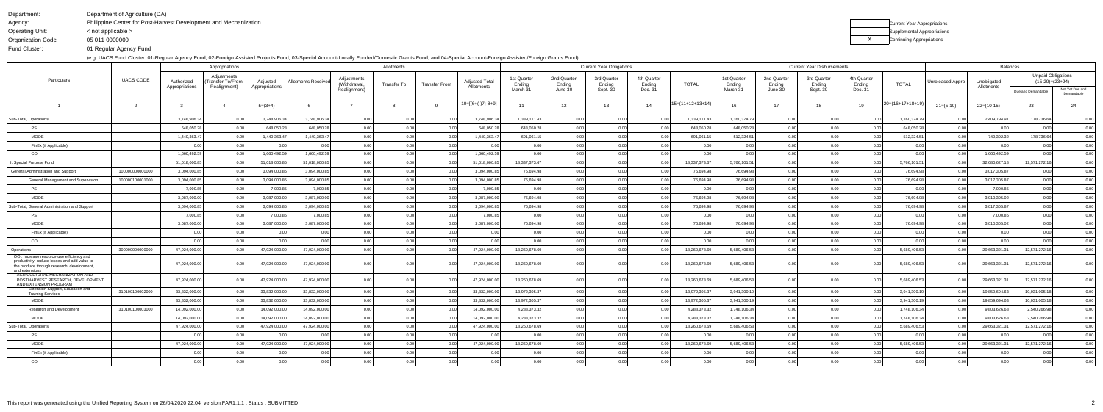Department:Agency:

Organization Code

Department of Agriculture (DA)

Operating Unit:< not applicable >

Current Year Appropriations Supplemental AppropriationsX **Continuing Appropriations** 

Philippine Center for Post-Harvest Development and Mechanization

05 011 0000000

Fund Cluster:

01 Regular Agency Fund

(e.g. UACS Fund Cluster: 01-Regular Agency Fund, 02-Foreign Assisted Projects Fund, 03-Special Account-Locally Funded/Domestic Grants Fund, and 04-Special Account-Foreign Assisted/Foreign Grants Fund)

|                                                                                                                                                          |                  |                              | Appropriations                                   |                            |                    |                             | Allotments  |               |                                     |                       |                       | <b>Current Year Obligations</b> |                       |                    |                       |                       | <b>Current Year Disbursements</b> |                       |                  |                         | <b>Balances</b>           |                                                |                               |
|----------------------------------------------------------------------------------------------------------------------------------------------------------|------------------|------------------------------|--------------------------------------------------|----------------------------|--------------------|-----------------------------|-------------|---------------|-------------------------------------|-----------------------|-----------------------|---------------------------------|-----------------------|--------------------|-----------------------|-----------------------|-----------------------------------|-----------------------|------------------|-------------------------|---------------------------|------------------------------------------------|-------------------------------|
| Particulars                                                                                                                                              | <b>UACS CODE</b> | Authorized<br>Appropriations | Adjustments<br>Transfer To/From.<br>Realignment) | Adiusted<br>Appropriations | Allotments Receive | Adjustments<br>(Withdrawal, | Transfer To | Transfer From | <b>Adjusted Total</b><br>Allotments | 1st Quarter<br>Ending | 2nd Quarter<br>Ending | 3rd Quarter<br>Ending           | 4th Quarter<br>Ending | <b>TOTAL</b>       | 1st Quarter<br>Ending | 2nd Quarter<br>Ending | 3rd Quarter<br>Ending             | 4th Quarter<br>Ending | <b>TOTAL</b>     | <b>Unreleased Appro</b> | Unobligated<br>Allotments | <b>Unpaid Obligations</b><br>$(15-20)=(23+24)$ |                               |
|                                                                                                                                                          |                  |                              |                                                  |                            |                    | Realignment)                |             |               |                                     | March 31              | June 30               | Sept. 30                        | Dec. 31               |                    | March 31              | June 30               | Sept. 30                          | Dec. 31               |                  |                         |                           | Due and Demandable                             | Not Yet Due and<br>Demandable |
|                                                                                                                                                          |                  |                              |                                                  | $5=(3+4)$                  |                    |                             |             |               | $10=[6+(-7)-8+9]$                   | 11                    | 12                    | 13                              | 14                    | $15=(11+12+13+14)$ | 16                    | 17                    | 18                                | 19                    | 20=(16+17+18+19) | $21 = (5-10)$           | $22=(10-15)$              | 23                                             | 24                            |
| Sub-Total, Operations                                                                                                                                    |                  | 3,748,906.3                  | 0.00                                             | 3,748,906.34               | 3,748,906.34       | 0.00                        | 0.00        | 0.00          | 3,748,906.34                        | 1,339,111.43          | 0.00                  | 0.00                            | 0.00                  | 1,339,111.43       | 1,160,374.79          | 0.00                  | 0.00                              |                       | 1,160,374.79     | 0.00                    | 2,409,794.91              | 178,736.64                                     | 0.00                          |
| PS                                                                                                                                                       |                  | 648,050.28                   | 0.00                                             | 648.050.28                 | 648.050.28         | 0.00                        | 0.00        | 0.00          | 648.050.28                          | 648.050.28            | 0.00                  | 0.00                            | 0.00                  | 648,050.28         | 648,050.28            | 0.00                  | 0.00                              | 0 <sub>0</sub>        | 648,050.28       | 0.00                    | 0.00                      | 0.00                                           | 0.00                          |
| MOOE                                                                                                                                                     |                  | 1,440,363.4                  | 0.00                                             | 1,440,363.47               | 1,440,363.47       | 0.00                        | 0.00        | 0.00          | 1,440,363.47                        | 691,061.15            | 0.00                  | 0.00                            |                       | 691,061.1          | 512,324.5             | 0.00                  | 0.00                              |                       | 512,324.51       | 0.00                    | 749,302.32                | 178,736.64                                     | 0.00                          |
| FinEx (if Applicable)                                                                                                                                    |                  | 0.00                         | 0.00                                             | 0.00                       | 0.00               | 0.00                        | 0.00        | 0.00          | 0.00                                | 0.00                  | 0.00                  | 0.00                            | 0.00                  | 0.00               | 0.00                  | 0.00                  | 0.00                              | 0.00                  | 0.00             | 0.00                    | 0.00                      | 0.00                                           | 0.00                          |
| CO                                                                                                                                                       |                  | 1,660,492.5                  | 0.00 <sub>1</sub>                                | 1,660,492.59               | 1,660,492.59       | 0.00                        | 0.00        | 0.00          | 1,660,492.59                        | 0.00                  | 0.00                  | 0.00                            | 0.00                  | 0.00               | 0.00                  | 0.00                  | 0.00                              | 0.00                  | 0.00             | 0.00                    | 1,660,492.59              | 0.00                                           | 0.00                          |
| I. Special Purpose Fund                                                                                                                                  |                  | 51,018,000.8                 | 0.00                                             | 51,018,000.85              | 51,018,000.8       | 0.00                        | 0.00        | 0.00          | 51,018,000.85                       | 18,337,373.67         | 0.00                  | 0.00                            |                       | 18,337,373.67      | 5,766,101.51          | 0.00                  | 0.00                              | 0 <sub>0</sub>        | 5,766,101.5      | 0.0                     | 32,680,627.18             | 12,571,272.16                                  | 0.00                          |
| General Administration and Support                                                                                                                       | 100000000000000  | 3,094,000.8                  | 0.00                                             | 3,094,000.8                | 3,094,000.8        | 0.00                        | 0.00        | 0.00          | 3,094,000.85                        | 76,694.98             | 0.00                  | 0.00                            | 0.00                  | 76,694.98          | 76,694.98             | 0.00                  | 0.00                              | 0.00                  | 76,694.98        | 0.00                    | 3,017,305.87              | 0.00                                           | 0.00                          |
| <b>General Management and Supervision</b>                                                                                                                | 100000100001000  | 3,094,000.8                  | 0.00                                             | 3,094,000.85               | 3,094,000.85       | 0.00                        | 0.00        | 0.00          | 3,094,000.85                        | 76,694.98             | 0.00                  | 0.00                            | 0.00                  | 76,694.98          | 76,694.98             | 0.00                  | 0.00                              | 0 <sub>0</sub>        | 76,694.98        | 0.00                    | 3,017,305.87              | 0.00                                           | 0.00                          |
| PS                                                                                                                                                       |                  | 7,000.85                     | 0.00                                             | 7,000.85                   | 7,000.85           | 0.00                        | 0.00        | 0.00          | 7,000.85                            | 0.00                  | 0.00                  | 0.00                            | 0.00                  | 0.00               | 0.00                  | 0.00                  | 0.00                              | 0.00                  | 0.00             | 0.00                    | 7,000.85                  | 0.00                                           | 0.00                          |
| <b>MOOE</b>                                                                                                                                              |                  | 3,087,000.00                 | 0.00                                             | 3,087,000.00               | 3,087,000.00       | 0.00                        | 0.00        | 0.00          | 3,087,000.00                        | 76,694.98             | 0.00                  | 0.00                            | 0.00                  | 76,694.98          | 76,694.98             | 0.00                  | 0.00                              | 0.00                  | 76,694.98        | 0.00                    | 3,010,305.02              | 0.00                                           | 0.00                          |
| Sub-Total, General Administration and Support                                                                                                            |                  | 3,094,000.8                  | 0.00                                             | 3,094,000.85               | 3,094,000.8        | 0.00                        | 0.00        | 0.00          | 3,094,000.85                        | 76,694.98             | 0.00                  | 0.00                            | 0.00                  | 76,694.98          | 76,694.98             | 0.00                  | 0.00                              | 0.00                  | 76,694.98        | 0.00                    | 3,017,305.87              | 0.00                                           | 0.00                          |
| PS                                                                                                                                                       |                  | 7,000.85                     | 0.00                                             | 7,000.85                   | 7,000.8            | 0.00                        | 0.00        | 0.00          | 7,000.85                            | 0.00                  | 0.00                  | 0.00                            | 0.00                  | 0.00               | 0.00                  | 0.00                  | 0.00                              | 0.00                  | 0.00             | 0.00                    | 7,000.85                  | 0.00                                           | 0.00                          |
| <b>MOOE</b>                                                                                                                                              |                  | 3,087,000.00                 | 0.00                                             | 3,087,000.00               | 3,087,000.00       | 0.00                        | 0.00        | 0.00          | 3,087,000.00                        | 76,694.98             | 0.00                  | 0.00                            | 0.00                  | 76,694.98          | 76,694.98             | 0.00                  | 0.00                              | 0.00                  | 76,694.98        | 0.0                     | 3,010,305.02              | 0.00                                           | 0.00                          |
| FinEx (if Applicable)                                                                                                                                    |                  | 0.00                         | 0.00                                             | 0.00                       | 0.00               | 0.00                        | 0.00        | 0.00          | 0.00                                | 0.00                  | 0.00                  | 0.00                            | 0.00                  | 0.00               | 0.00                  | 0.00                  | 0.00                              | 0.00                  | 0.00             | 0.00                    | 0.00                      | 0.00                                           | 0.00                          |
| CO                                                                                                                                                       |                  | 0 <sub>0</sub>               | 0.00 <sub>1</sub>                                | 0 <sup>0</sup>             | 0 <sup>0</sup>     | 0.00                        | 0.00        | 0.00          | 0.00                                | 0.00                  | 0.00                  | 0.00                            | 0.00                  | 0 <sub>0</sub>     | 0 <sub>0</sub>        | 0.00                  | 0.00                              | 0 <sub>0</sub>        | 0.00             | 0.00                    | 0.00                      | 0.00                                           | 0.00                          |
| Operations                                                                                                                                               | 300000000000000  | 47,924,000.00                | 0.00                                             | 47,924,000.00              | 47,924,000.00      | 0.00                        | 0.00        | 0.00          | 47,924,000.00                       | 18,260,678.69         | 0.00                  | 0.00                            | 0.00                  | 18,260,678.69      | 5,689,406.53          | 0.00                  | 0.00                              | 0.0                   | 5,689,406.53     | 0.00                    | 29,663,321.3              | 12,571,272.16                                  | 0.00                          |
| OO : Increase resource-use efficiency and<br>productivity, reduce losses and add value to<br>the produce through research, development<br>and extensions |                  | 47,924,000.00                | 0.001                                            | 47,924,000.00              | 47,924,000.00      | 0.00                        | 0.00        | 0.00          | 47,924,000.00                       | 18,260,678.69         | 0.00                  | 0.00                            |                       | 18,260,678.69      | 5,689,406.53          | 0.00                  | 0.00                              |                       | 5,689,406.53     | 0.00                    | 29,663,321.3              | 12,571,272.16                                  | 0.00                          |
| AGRICULTURAL MECHANIZATION AND<br>POSTHARVEST RESEARCH, DEVELOPMENT<br>AND EXTENSION PROGRAM                                                             |                  | 47,924,000.00                |                                                  | 47,924,000.00              | 47,924,000.00      | 0.00                        | 0.00        | 0.00          | 47,924,000.00                       | 18,260,678.69         | 0.001                 | 0.00                            |                       | 18,260,678.6       | 5,689,406.53          | 0.00                  |                                   |                       | 5,689,406.53     | 0.00                    | 29,663,321.3              | 12,571,272.16                                  | 0.00                          |
| Extension Support, Education and<br><b>Training Services</b>                                                                                             | 310100100002000  | 33,832,000.00                | 0.00                                             | 33,832,000.00              | 33,832,000.00      | 0.00                        | 0.00        | 0.00          | 33,832,000.00                       | 13,972,305.37         | 0.00                  | 0.00                            | 0.00                  | 13,972,305.37      | 3,941,300.19          | 0.00                  | 0.00                              | 0.00                  | 3,941,300.19     | 0.00                    | 19,859,694.63             | 10,031,005.18                                  | 0.00                          |
| MOOE                                                                                                                                                     |                  | 33,832,000.00                | 0.00                                             | 33,832,000.00              | 33,832,000.00      | 0.00                        | 0.00        | 0.00          | 33,832,000.00                       | 13,972,305.37         | 0.00                  | 0.00                            | 0.00                  | 13,972,305.3       | 3,941,300.19          | 0.00                  | 0.00                              | - 0.0                 | 3,941,300.19     | 0.00                    | 19,859,694.63             | 10,031,005.18                                  | 0.00                          |
| Research and Development                                                                                                                                 | 310100100003000  | 14,092,000.00                | 0.00                                             | 14,092,000.00              | 14,092,000.00      | 0.00                        | 0.0         | 0.00          | 14,092,000.00                       | 4,288,373.32          | 0.00                  | 0.00                            |                       | 4,288,373.32       | 1,748,106.34          | 0.00                  | 0.00                              | 0.0                   | 1,748,106.34     | 0.0                     | 9,803,626.68              | 2,540,266.98                                   | 0.00                          |
| <b>MOOE</b>                                                                                                                                              |                  | 14,092,000.00                | 0.00                                             | 14,092,000.00              | 14.092.000.00      | 0.00                        | 0.00        | 0.00          | 14,092,000.00                       | 4,288,373.32          | 0.00                  | 0.00                            |                       | 4,288,373.32       | 1,748,106.34          | 0.00                  | 0.00                              |                       | 1,748,106.34     | 0.00                    | 9,803,626.68              | 2,540,266.98                                   | 0.00                          |
| Sub-Total, Operations                                                                                                                                    |                  | 47,924,000.00                | ი იი                                             | 47,924,000.00              | 47,924,000.0       | 0.00                        | 0.00        | 0.00          | 47,924,000.00                       | 18,260,678.69         | 0.00                  | 0.00                            | 0.00                  | 18,260,678.69      | 5,689,406.53          | 0.00                  | 0.00                              | 0 <sup>0</sup>        | 5.689.406.53     | 0.00                    | 29,663,321.31             | 12,571,272.16                                  | 0.00                          |
| <b>PS</b>                                                                                                                                                |                  | 0.00                         | 0.00                                             |                            | 0.00               | 0.00                        | 0.00        | 0.00          | 0.00                                | 0.00                  | 0.00                  | 0.00                            |                       | 0.00               | 0.00                  | 0.00                  | 0.00                              | 0. <sub>C</sub>       | 0.0              | 0.00                    | 0.00                      | 0.00                                           | 0.00                          |
| MOOE                                                                                                                                                     |                  | 47,924,000.00                | 0.00                                             | 47,924,000.00              | 47,924,000.00      | 0.00                        | 0.00        | 0.00          | 47,924,000.00                       | 18,260,678.69         | 0.00                  | 0.00                            |                       | 18,260,678.69      | 5,689,406.53          | 0.00                  | 0.00                              |                       | 5,689,406.53     | 0.00                    | 29,663,321.31             | 12,571,272.16                                  | 0.00                          |
| FinEx (if Applicable                                                                                                                                     |                  | 0.00                         | 0.00                                             |                            | 0 <sub>0</sub>     | 0.00                        | 0.00        | 0.00          | 0.00                                | 0.00                  | 0.00                  | 0.00                            |                       | 0.00               |                       | 0.00                  |                                   | 0 <sub>0</sub>        | 0.00             | 0.00                    | 0.00                      | 0.00                                           | 0.00                          |
| CO                                                                                                                                                       |                  | 0.00                         | ) በበ                                             |                            |                    |                             | 0.00        | 0.00          |                                     |                       |                       | 0.00                            |                       | 0.00               |                       | 0.001                 |                                   |                       | 0 <sub>0</sub>   | 0.00                    | 0.00                      |                                                | 0.00                          |